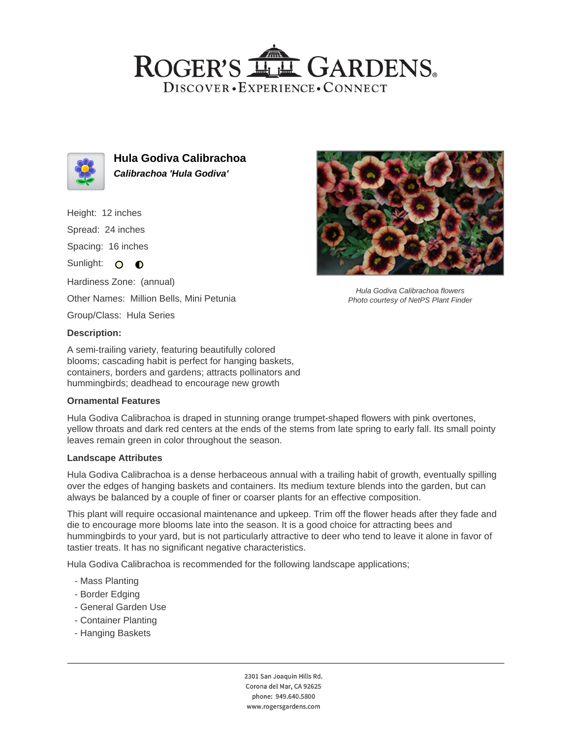## ROGER'S LL GARDENS. DISCOVER · EXPERIENCE · CONNECT



**Hula Godiva Calibrachoa Calibrachoa 'Hula Godiva'**

Height: 12 inches

Spread: 24 inches

Spacing: 16 inches

Sunlight: O O

Hardiness Zone: (annual) Other Names: Million Bells, Mini Petunia

Group/Class: Hula Series

### **Description:**

A semi-trailing variety, featuring beautifully colored blooms; cascading habit is perfect for hanging baskets, containers, borders and gardens; attracts pollinators and hummingbirds; deadhead to encourage new growth

#### **Ornamental Features**

Hula Godiva Calibrachoa is draped in stunning orange trumpet-shaped flowers with pink overtones, yellow throats and dark red centers at the ends of the stems from late spring to early fall. Its small pointy leaves remain green in color throughout the season.

#### **Landscape Attributes**

Hula Godiva Calibrachoa is a dense herbaceous annual with a trailing habit of growth, eventually spilling over the edges of hanging baskets and containers. Its medium texture blends into the garden, but can always be balanced by a couple of finer or coarser plants for an effective composition.

This plant will require occasional maintenance and upkeep. Trim off the flower heads after they fade and die to encourage more blooms late into the season. It is a good choice for attracting bees and hummingbirds to your yard, but is not particularly attractive to deer who tend to leave it alone in favor of tastier treats. It has no significant negative characteristics.

Hula Godiva Calibrachoa is recommended for the following landscape applications;

- Mass Planting
- Border Edging
- General Garden Use
- Container Planting
- Hanging Baskets



Hula Godiva Calibrachoa flowers Photo courtesy of NetPS Plant Finder

2301 San Joaquin Hills Rd. Corona del Mar, CA 92625 phone: 949.640.5800 www.rogersgardens.com